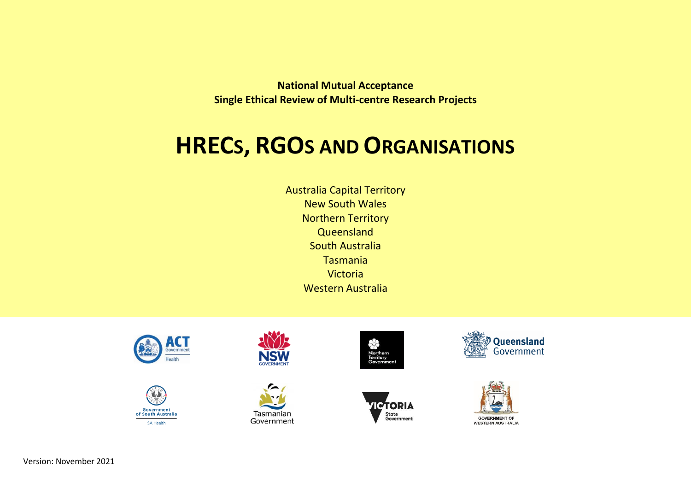**National Mutual Acceptance Single Ethical Review of Multi-centre Research Projects**

# **HRECS, RGOS AND ORGANISATIONS**

Australia Capital Territory New South Wales Northern Territory **Queensland** South Australia Tasmania Victoria Western Australia

















Version: November 2021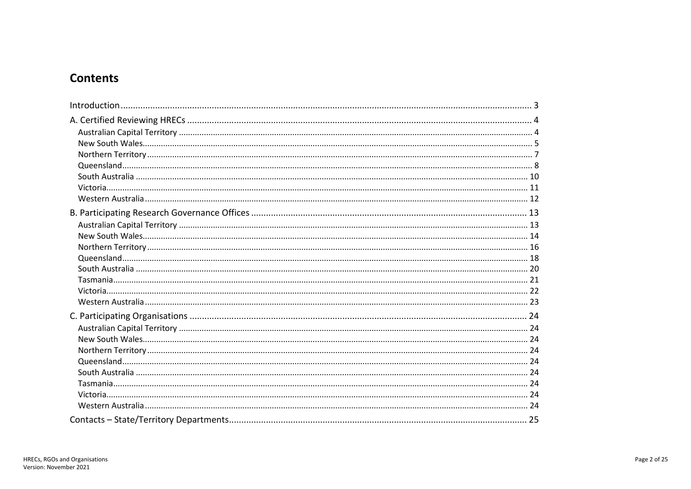# **Contents**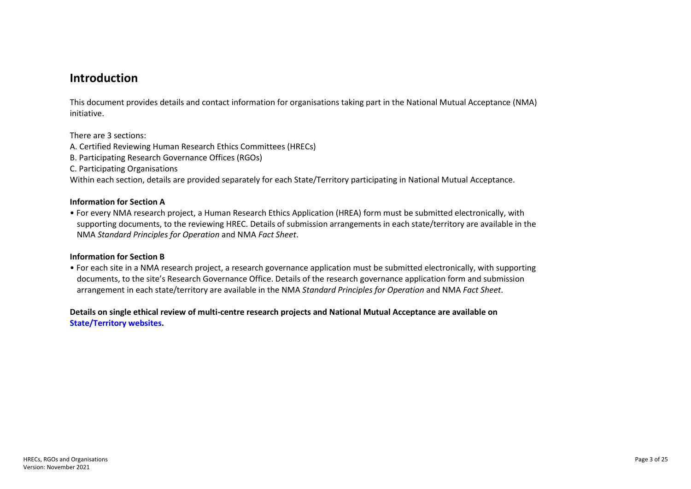# <span id="page-2-0"></span>**Introduction**

This document provides details and contact information for organisations taking part in the National Mutual Acceptance (NMA) initiative.

There are 3 sections:

- A. Certified Reviewing Human Research Ethics Committees (HRECs)
- B. Participating Research Governance Offices (RGOs)
- C. Participating Organisations

Within each section, details are provided separately for each State/Territory participating in National Mutual Acceptance.

#### **Information for Section A**

• For every NMA research project, a Human Research Ethics Application (HREA) form must be submitted electronically, with supporting documents, to the reviewing HREC. Details of submission arrangements in each state/territory are available in the NMA *Standard Principles for Operation* and NMA *Fact Sheet*.

#### **Information for Section B**

• For each site in a NMA research project, a research governance application must be submitted electronically, with supporting documents, to the site's Research Governance Office. Details of the research governance application form and submission arrangement in each state/territory are available in the NMA *Standard Principles for Operation* and NMA *Fact Sheet*.

**Details on single ethical review of multi-centre research projects and National Mutual Acceptance are available on [State/Territory websites.](#page-24-0)**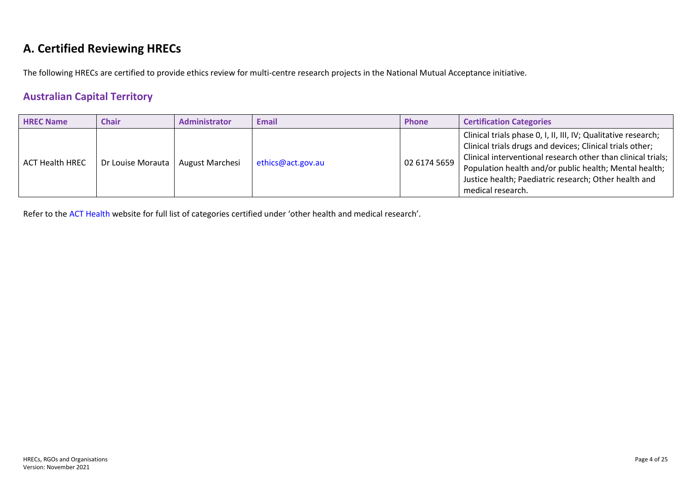# <span id="page-3-0"></span>**A. Certified Reviewing HRECs**

The following HRECs are certified to provide ethics review for multi-centre research projects in the National Mutual Acceptance initiative.

# <span id="page-3-1"></span>**Australian Capital Territory**

| <b>HREC Name</b>       | <b>Chair</b>      | <b>Administrator</b>   | Email             | <b>Phone</b> | <b>Certification Categories</b>                                                                                                                                                                                                                                                                                                     |
|------------------------|-------------------|------------------------|-------------------|--------------|-------------------------------------------------------------------------------------------------------------------------------------------------------------------------------------------------------------------------------------------------------------------------------------------------------------------------------------|
| <b>ACT Health HREC</b> | Dr Louise Morauta | <b>August Marchesi</b> | ethics@act.gov.au | 02 6174 5659 | Clinical trials phase 0, I, II, III, IV; Qualitative research;<br>Clinical trials drugs and devices; Clinical trials other;<br>Clinical interventional research other than clinical trials;<br>Population health and/or public health; Mental health;<br>Justice health; Paediatric research; Other health and<br>medical research. |

Refer to the [ACT Health](http://www.health.act.gov.au/datapublications/research/human-research-ethics-committee) website for full list of categories certified under 'other health and medical research'.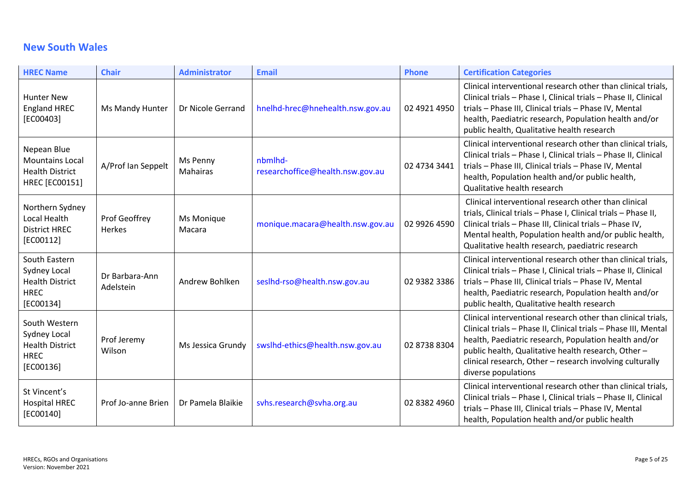# <span id="page-4-0"></span>**New South Wales**

| <b>HREC Name</b>                                                                      | <b>Chair</b>                          | <b>Administrator</b> | <b>Email</b>                                | <b>Phone</b> | <b>Certification Categories</b>                                                                                                                                                                                                                                                                                                   |
|---------------------------------------------------------------------------------------|---------------------------------------|----------------------|---------------------------------------------|--------------|-----------------------------------------------------------------------------------------------------------------------------------------------------------------------------------------------------------------------------------------------------------------------------------------------------------------------------------|
| <b>Hunter New</b><br><b>England HREC</b><br>[EC00403]                                 | Ms Mandy Hunter                       | Dr Nicole Gerrand    | hnelhd-hrec@hnehealth.nsw.gov.au            | 02 4921 4950 | Clinical interventional research other than clinical trials,<br>Clinical trials - Phase I, Clinical trials - Phase II, Clinical<br>trials - Phase III, Clinical trials - Phase IV, Mental<br>health, Paediatric research, Population health and/or<br>public health, Qualitative health research                                  |
| Nepean Blue<br><b>Mountains Local</b><br><b>Health District</b><br>HREC [EC00151]     | A/Prof Ian Seppelt                    | Ms Penny<br>Mahairas | nbmlhd-<br>researchoffice@health.nsw.gov.au | 02 4734 3441 | Clinical interventional research other than clinical trials,<br>Clinical trials - Phase I, Clinical trials - Phase II, Clinical<br>trials - Phase III, Clinical trials - Phase IV, Mental<br>health, Population health and/or public health,<br>Qualitative health research                                                       |
| Northern Sydney<br>Local Health<br><b>District HREC</b><br>[EC00112]                  | <b>Prof Geoffrey</b><br><b>Herkes</b> | Ms Monique<br>Macara | monique.macara@health.nsw.gov.au            | 02 9926 4590 | Clinical interventional research other than clinical<br>trials, Clinical trials - Phase I, Clinical trials - Phase II,<br>Clinical trials - Phase III, Clinical trials - Phase IV,<br>Mental health, Population health and/or public health,<br>Qualitative health research, paediatric research                                  |
| South Eastern<br>Sydney Local<br><b>Health District</b><br><b>HREC</b><br>[EC00134]   | Dr Barbara-Ann<br>Adelstein           | Andrew Bohlken       | seslhd-rso@health.nsw.gov.au                | 02 9382 3386 | Clinical interventional research other than clinical trials,<br>Clinical trials - Phase I, Clinical trials - Phase II, Clinical<br>trials - Phase III, Clinical trials - Phase IV, Mental<br>health, Paediatric research, Population health and/or<br>public health, Qualitative health research                                  |
| South Western<br>Sydney Local<br><b>Health District</b><br><b>HREC</b><br>$[EC00136]$ | Prof Jeremy<br>Wilson                 | Ms Jessica Grundy    | swslhd-ethics@health.nsw.gov.au             | 02 8738 8304 | Clinical interventional research other than clinical trials,<br>Clinical trials - Phase II, Clinical trials - Phase III, Mental<br>health, Paediatric research, Population health and/or<br>public health, Qualitative health research, Other-<br>clinical research, Other - research involving culturally<br>diverse populations |
| St Vincent's<br><b>Hospital HREC</b><br>[EC00140]                                     | Prof Jo-anne Brien                    | Dr Pamela Blaikie    | svhs.research@svha.org.au                   | 02 8382 4960 | Clinical interventional research other than clinical trials,<br>Clinical trials - Phase I, Clinical trials - Phase II, Clinical<br>trials - Phase III, Clinical trials - Phase IV, Mental<br>health, Population health and/or public health                                                                                       |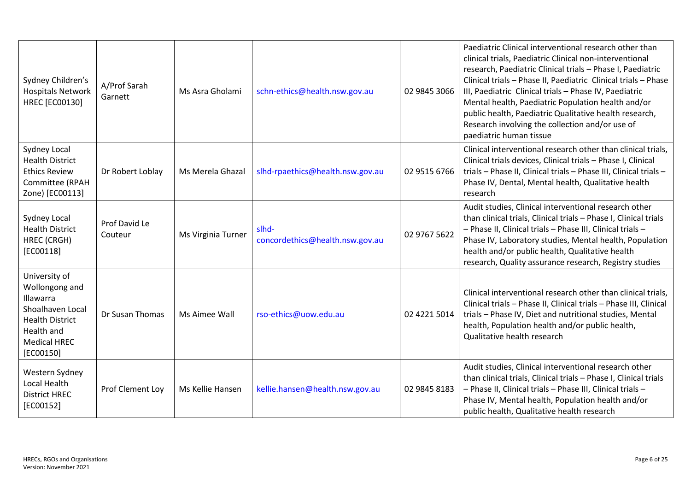| Sydney Children's<br><b>Hospitals Network</b><br>HREC [EC00130]                                                                                     | A/Prof Sarah<br>Garnett  | Ms Asra Gholami    | schn-ethics@health.nsw.gov.au            | 02 9845 3066 | Paediatric Clinical interventional research other than<br>clinical trials, Paediatric Clinical non-interventional<br>research, Paediatric Clinical trials - Phase I, Paediatric<br>Clinical trials - Phase II, Paediatric Clinical trials - Phase<br>III, Paediatric Clinical trials - Phase IV, Paediatric<br>Mental health, Paediatric Population health and/or<br>public health, Paediatric Qualitative health research,<br>Research involving the collection and/or use of<br>paediatric human tissue |
|-----------------------------------------------------------------------------------------------------------------------------------------------------|--------------------------|--------------------|------------------------------------------|--------------|-----------------------------------------------------------------------------------------------------------------------------------------------------------------------------------------------------------------------------------------------------------------------------------------------------------------------------------------------------------------------------------------------------------------------------------------------------------------------------------------------------------|
| <b>Sydney Local</b><br><b>Health District</b><br><b>Ethics Review</b><br>Committee (RPAH<br>Zone) [EC00113]                                         | Dr Robert Loblay         | Ms Merela Ghazal   | slhd-rpaethics@health.nsw.gov.au         | 02 9515 6766 | Clinical interventional research other than clinical trials,<br>Clinical trials devices, Clinical trials - Phase I, Clinical<br>trials - Phase II, Clinical trials - Phase III, Clinical trials -<br>Phase IV, Dental, Mental health, Qualitative health<br>research                                                                                                                                                                                                                                      |
| <b>Sydney Local</b><br><b>Health District</b><br>HREC (CRGH)<br>$[EC00118]$                                                                         | Prof David Le<br>Couteur | Ms Virginia Turner | slhd-<br>concordethics@health.nsw.gov.au | 02 9767 5622 | Audit studies, Clinical interventional research other<br>than clinical trials, Clinical trials - Phase I, Clinical trials<br>- Phase II, Clinical trials - Phase III, Clinical trials -<br>Phase IV, Laboratory studies, Mental health, Population<br>health and/or public health, Qualitative health<br>research, Quality assurance research, Registry studies                                                                                                                                           |
| University of<br>Wollongong and<br><b>Illawarra</b><br>Shoalhaven Local<br><b>Health District</b><br>Health and<br><b>Medical HREC</b><br>[EC00150] | Dr Susan Thomas          | Ms Aimee Wall      | rso-ethics@uow.edu.au                    | 02 4221 5014 | Clinical interventional research other than clinical trials,<br>Clinical trials - Phase II, Clinical trials - Phase III, Clinical<br>trials - Phase IV, Diet and nutritional studies, Mental<br>health, Population health and/or public health,<br>Qualitative health research                                                                                                                                                                                                                            |
| Western Sydney<br>Local Health<br><b>District HREC</b><br>[EC00152]                                                                                 | Prof Clement Loy         | Ms Kellie Hansen   | kellie.hansen@health.nsw.gov.au          | 02 9845 8183 | Audit studies, Clinical interventional research other<br>than clinical trials, Clinical trials - Phase I, Clinical trials<br>- Phase II, Clinical trials - Phase III, Clinical trials -<br>Phase IV, Mental health, Population health and/or<br>public health, Qualitative health research                                                                                                                                                                                                                |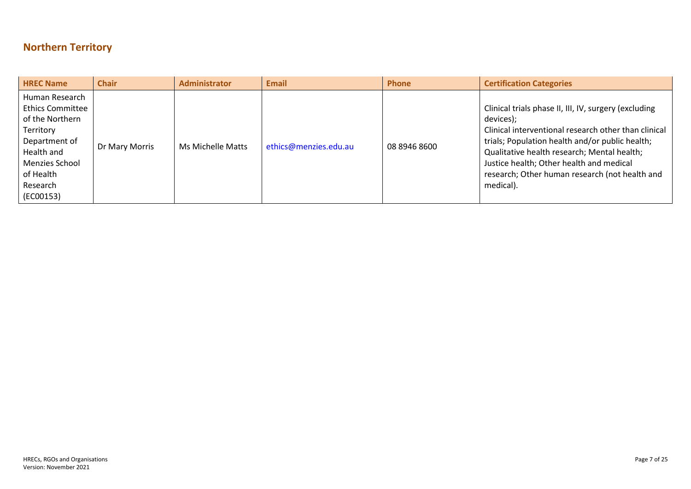# <span id="page-6-0"></span>**Northern Territory**

| <b>HREC Name</b>                                                                                                                                                 | <b>Chair</b>   | <b>Administrator</b> | <b>Email</b>          | <b>Phone</b> | <b>Certification Categories</b>                                                                                                                                                                                                                                                                                                         |
|------------------------------------------------------------------------------------------------------------------------------------------------------------------|----------------|----------------------|-----------------------|--------------|-----------------------------------------------------------------------------------------------------------------------------------------------------------------------------------------------------------------------------------------------------------------------------------------------------------------------------------------|
| Human Research<br><b>Ethics Committee</b><br>of the Northern<br>Territory<br>Department of<br>Health and<br>Menzies School<br>of Health<br>Research<br>(EC00153) | Dr Mary Morris | Ms Michelle Matts    | ethics@menzies.edu.au | 08 8946 8600 | Clinical trials phase II, III, IV, surgery (excluding<br>devices);<br>Clinical interventional research other than clinical<br>trials; Population health and/or public health;<br>Qualitative health research; Mental health;<br>Justice health; Other health and medical<br>research; Other human research (not health and<br>medical). |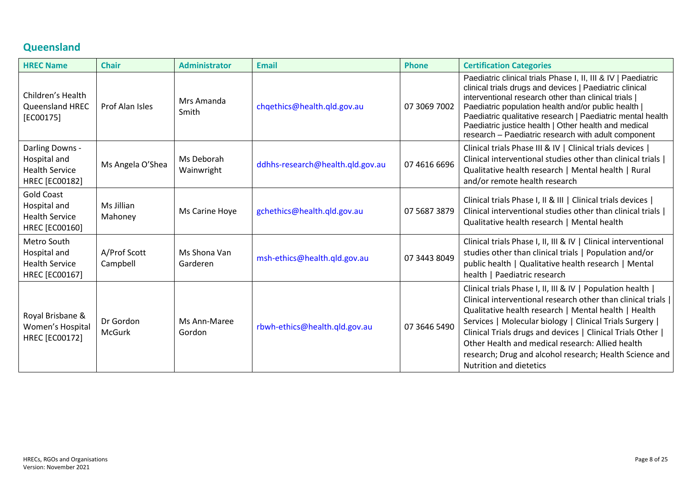# <span id="page-7-0"></span>**Queensland**

| <b>HREC Name</b>                                                                    | <b>Chair</b>               | <b>Administrator</b>     | <b>Email</b>                     | <b>Phone</b> | <b>Certification Categories</b>                                                                                                                                                                                                                                                                                                                                                                                                                                  |
|-------------------------------------------------------------------------------------|----------------------------|--------------------------|----------------------------------|--------------|------------------------------------------------------------------------------------------------------------------------------------------------------------------------------------------------------------------------------------------------------------------------------------------------------------------------------------------------------------------------------------------------------------------------------------------------------------------|
| Children's Health<br>Queensland HREC<br>$[EC00175]$                                 | Prof Alan Isles            | Mrs Amanda<br>Smith      | chqethics@health.qld.gov.au      | 07 3069 7002 | Paediatric clinical trials Phase I, II, III & IV   Paediatric<br>clinical trials drugs and devices   Paediatric clinical<br>interventional research other than clinical trials  <br>Paediatric population health and/or public health  <br>Paediatric qualitative research   Paediatric mental health<br>Paediatric justice health   Other health and medical<br>research - Paediatric research with adult component                                             |
| Darling Downs -<br>Hospital and<br><b>Health Service</b><br><b>HREC [EC00182]</b>   | Ms Angela O'Shea           | Ms Deborah<br>Wainwright | ddhhs-research@health.qld.gov.au | 07 4616 6696 | Clinical trials Phase III & IV   Clinical trials devices  <br>Clinical interventional studies other than clinical trials<br>Qualitative health research   Mental health   Rural<br>and/or remote health research                                                                                                                                                                                                                                                 |
| <b>Gold Coast</b><br>Hospital and<br><b>Health Service</b><br><b>HREC [EC00160]</b> | Ms Jillian<br>Mahoney      | Ms Carine Hoye           | gchethics@health.qld.gov.au      | 07 5687 3879 | Clinical trials Phase I, II & III   Clinical trials devices  <br>Clinical interventional studies other than clinical trials  <br>Qualitative health research   Mental health                                                                                                                                                                                                                                                                                     |
| Metro South<br>Hospital and<br><b>Health Service</b><br><b>HREC [EC00167]</b>       | A/Prof Scott<br>Campbell   | Ms Shona Van<br>Garderen | msh-ethics@health.qld.gov.au     | 07 3443 8049 | Clinical trials Phase I, II, III & IV   Clinical interventional<br>studies other than clinical trials   Population and/or<br>public health   Qualitative health research   Mental<br>health   Paediatric research                                                                                                                                                                                                                                                |
| Royal Brisbane &<br>Women's Hospital<br><b>HREC [EC00172]</b>                       | Dr Gordon<br><b>McGurk</b> | Ms Ann-Maree<br>Gordon   | rbwh-ethics@health.qld.gov.au    | 07 3646 5490 | Clinical trials Phase I, II, III & IV   Population health  <br>Clinical interventional research other than clinical trials  <br>Qualitative health research   Mental health   Health<br>Services   Molecular biology   Clinical Trials Surgery  <br>Clinical Trials drugs and devices   Clinical Trials Other  <br>Other Health and medical research: Allied health<br>research; Drug and alcohol research; Health Science and<br><b>Nutrition and dietetics</b> |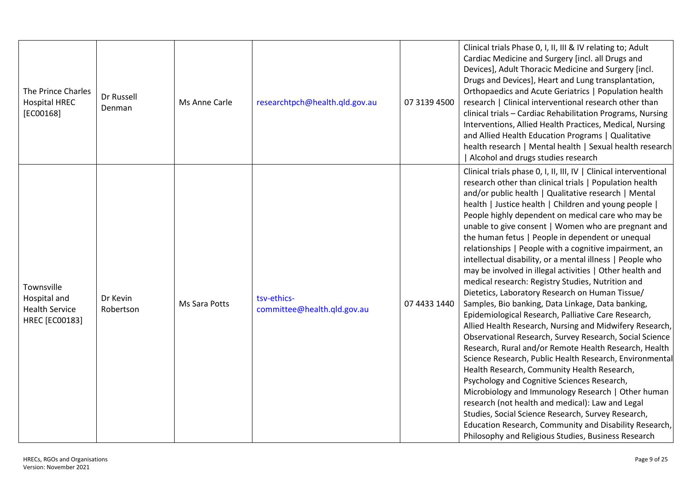| The Prince Charles<br><b>Hospital HREC</b><br>$[EC00168]$             | Dr Russell<br>Denman  | Ms Anne Carle | researchtpch@health.qld.gov.au             | 07 3139 4500 | Clinical trials Phase 0, I, II, III & IV relating to; Adult<br>Cardiac Medicine and Surgery [incl. all Drugs and<br>Devices], Adult Thoracic Medicine and Surgery [incl.<br>Drugs and Devices], Heart and Lung transplantation,<br>Orthopaedics and Acute Geriatrics   Population health<br>research   Clinical interventional research other than<br>clinical trials - Cardiac Rehabilitation Programs, Nursing<br>Interventions, Allied Health Practices, Medical, Nursing<br>and Allied Health Education Programs   Qualitative<br>health research   Mental health   Sexual health research<br>Alcohol and drugs studies research                                                                                                                                                                                                                                                                                                                                                                                                                                                                                                                                                                                                                                                                                                                                                                                                           |
|-----------------------------------------------------------------------|-----------------------|---------------|--------------------------------------------|--------------|------------------------------------------------------------------------------------------------------------------------------------------------------------------------------------------------------------------------------------------------------------------------------------------------------------------------------------------------------------------------------------------------------------------------------------------------------------------------------------------------------------------------------------------------------------------------------------------------------------------------------------------------------------------------------------------------------------------------------------------------------------------------------------------------------------------------------------------------------------------------------------------------------------------------------------------------------------------------------------------------------------------------------------------------------------------------------------------------------------------------------------------------------------------------------------------------------------------------------------------------------------------------------------------------------------------------------------------------------------------------------------------------------------------------------------------------|
| Townsville<br>Hospital and<br><b>Health Service</b><br>HREC [EC00183] | Dr Kevin<br>Robertson | Ms Sara Potts | tsv-ethics-<br>committee@health.qld.gov.au | 07 4433 1440 | Clinical trials phase 0, I, II, III, IV   Clinical interventional<br>research other than clinical trials   Population health<br>and/or public health   Qualitative research   Mental<br>health   Justice health   Children and young people  <br>People highly dependent on medical care who may be<br>unable to give consent   Women who are pregnant and<br>the human fetus   People in dependent or unequal<br>relationships   People with a cognitive impairment, an<br>intellectual disability, or a mental illness   People who<br>may be involved in illegal activities   Other health and<br>medical research: Registry Studies, Nutrition and<br>Dietetics, Laboratory Research on Human Tissue/<br>Samples, Bio banking, Data Linkage, Data banking,<br>Epidemiological Research, Palliative Care Research,<br>Allied Health Research, Nursing and Midwifery Research,<br>Observational Research, Survey Research, Social Science<br>Research, Rural and/or Remote Health Research, Health<br>Science Research, Public Health Research, Environmental<br>Health Research, Community Health Research,<br>Psychology and Cognitive Sciences Research,<br>Microbiology and Immunology Research   Other human<br>research (not health and medical): Law and Legal<br>Studies, Social Science Research, Survey Research,<br>Education Research, Community and Disability Research,<br>Philosophy and Religious Studies, Business Research |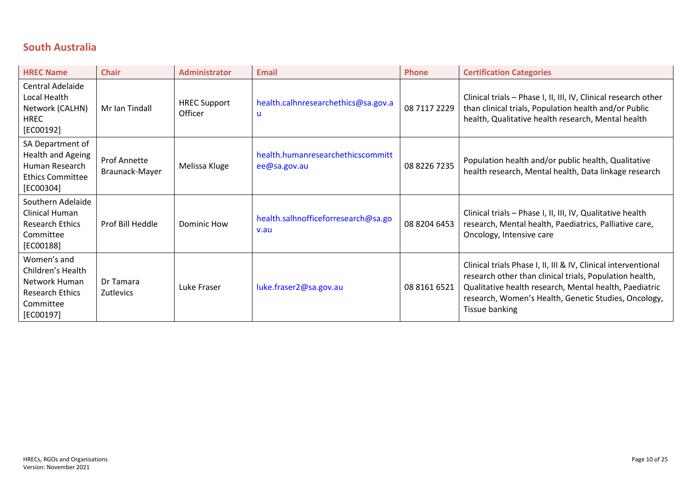# <span id="page-9-0"></span>**South Australia**

| <b>HREC Name</b>                                                                                      | <b>Chair</b>                          | <b>Administrator</b>           | <b>Email</b>                                      | <b>Phone</b> | <b>Certification Categories</b>                                                                                                                                                                                                                               |
|-------------------------------------------------------------------------------------------------------|---------------------------------------|--------------------------------|---------------------------------------------------|--------------|---------------------------------------------------------------------------------------------------------------------------------------------------------------------------------------------------------------------------------------------------------------|
| Central Adelaide<br>Local Health<br>Network (CALHN)<br><b>HREC</b><br>[EC00192]                       | Mr Ian Tindall                        | <b>HREC Support</b><br>Officer | health.calhnresearchethics@sa.gov.a<br>u          | 08 7117 2229 | Clinical trials - Phase I, II, III, IV, Clinical research other<br>than clinical trials, Population health and/or Public<br>health, Qualitative health research, Mental health                                                                                |
| SA Department of<br>Health and Ageing<br>Human Research<br><b>Ethics Committee</b><br>[EC00304]       | <b>Prof Annette</b><br>Braunack-Mayer | Melissa Kluge                  | health.humanresearchethicscommitt<br>ee@sa.gov.au | 08 8226 7235 | Population health and/or public health, Qualitative<br>health research, Mental health, Data linkage research                                                                                                                                                  |
| Southern Adelaide<br>Clinical Human<br><b>Research Ethics</b><br>Committee<br>[EC00188]               | Prof Bill Heddle                      | Dominic How                    | health.salhnofficeforresearch@sa.go<br>v.au       | 08 8204 6453 | Clinical trials - Phase I, II, III, IV, Qualitative health<br>research, Mental health, Paediatrics, Palliative care,<br>Oncology, Intensive care                                                                                                              |
| Women's and<br>Children's Health<br>Network Human<br><b>Research Ethics</b><br>Committee<br>[EC00197] | Dr Tamara<br><b>Zutlevics</b>         | Luke Fraser                    | luke.fraser2@sa.gov.au                            | 08 8161 6521 | Clinical trials Phase I, II, III & IV, Clinical interventional<br>research other than clinical trials, Population health,<br>Qualitative health research, Mental health, Paediatric<br>research, Women's Health, Genetic Studies, Oncology,<br>Tissue banking |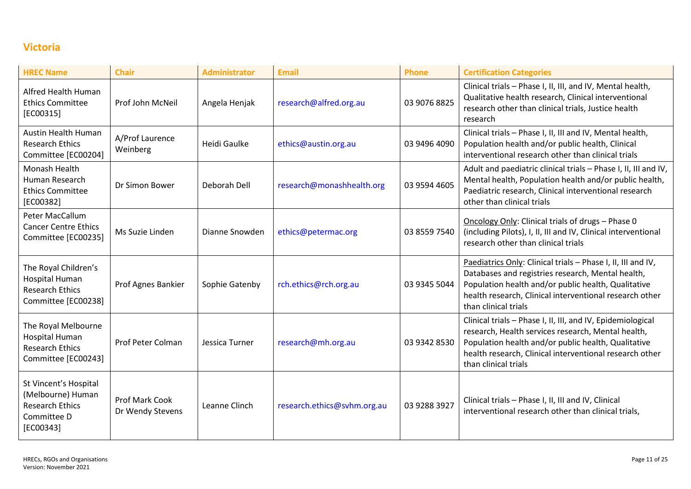# <span id="page-10-0"></span>**Victoria**

| <b>HREC Name</b>                                                                                 | <b>Chair</b>                       | <b>Administrator</b> | <b>Email</b>                | <b>Phone</b> | <b>Certification Categories</b>                                                                                                                                                                                                                             |
|--------------------------------------------------------------------------------------------------|------------------------------------|----------------------|-----------------------------|--------------|-------------------------------------------------------------------------------------------------------------------------------------------------------------------------------------------------------------------------------------------------------------|
| Alfred Health Human<br><b>Ethics Committee</b><br>[EC00315]                                      | Prof John McNeil                   | Angela Henjak        | research@alfred.org.au      | 03 9076 8825 | Clinical trials - Phase I, II, III, and IV, Mental health,<br>Qualitative health research, Clinical interventional<br>research other than clinical trials, Justice health<br>research                                                                       |
| <b>Austin Health Human</b><br><b>Research Ethics</b><br>Committee [EC00204]                      | A/Prof Laurence<br>Weinberg        | Heidi Gaulke         | ethics@austin.org.au        | 03 9496 4090 | Clinical trials - Phase I, II, III and IV, Mental health,<br>Population health and/or public health, Clinical<br>interventional research other than clinical trials                                                                                         |
| Monash Health<br>Human Research<br><b>Ethics Committee</b><br>[EC00382]                          | Dr Simon Bower                     | Deborah Dell         | research@monashhealth.org   | 03 9594 4605 | Adult and paediatric clinical trials - Phase I, II, III and IV,<br>Mental health, Population health and/or public health,<br>Paediatric research, Clinical interventional research<br>other than clinical trials                                            |
| Peter MacCallum<br><b>Cancer Centre Ethics</b><br>Committee [EC00235]                            | Ms Suzie Linden                    | Dianne Snowden       | ethics@petermac.org         | 03 8559 7540 | Oncology Only: Clinical trials of drugs - Phase 0<br>(including Pilots), I, II, III and IV, Clinical interventional<br>research other than clinical trials                                                                                                  |
| The Royal Children's<br>Hospital Human<br><b>Research Ethics</b><br>Committee [EC00238]          | Prof Agnes Bankier                 | Sophie Gatenby       | rch.ethics@rch.org.au       | 03 9345 5044 | Paediatrics Only: Clinical trials - Phase I, II, III and IV,<br>Databases and registries research, Mental health,<br>Population health and/or public health, Qualitative<br>health research, Clinical interventional research other<br>than clinical trials |
| The Royal Melbourne<br><b>Hospital Human</b><br><b>Research Ethics</b><br>Committee [EC00243]    | <b>Prof Peter Colman</b>           | Jessica Turner       | research@mh.org.au          | 03 9342 8530 | Clinical trials - Phase I, II, III, and IV, Epidemiological<br>research, Health services research, Mental health,<br>Population health and/or public health, Qualitative<br>health research, Clinical interventional research other<br>than clinical trials |
| St Vincent's Hospital<br>(Melbourne) Human<br><b>Research Ethics</b><br>Committee D<br>[EC00343] | Prof Mark Cook<br>Dr Wendy Stevens | Leanne Clinch        | research.ethics@svhm.org.au | 03 9288 3927 | Clinical trials - Phase I, II, III and IV, Clinical<br>interventional research other than clinical trials,                                                                                                                                                  |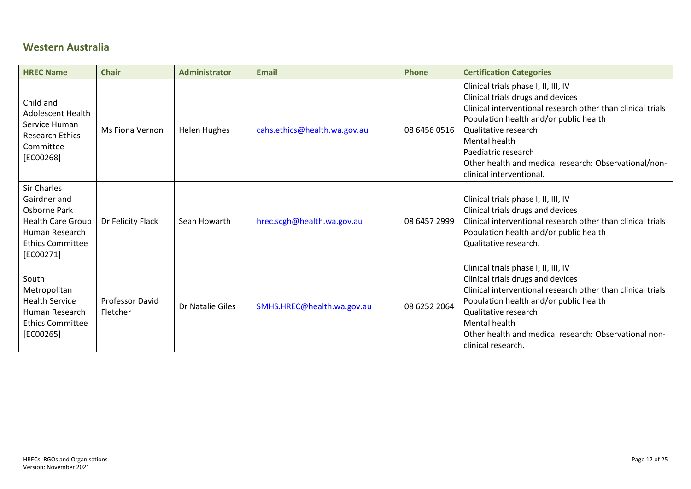# <span id="page-11-0"></span>**Western Australia**

| <b>HREC Name</b>                                                                                                                    | <b>Chair</b>                       | <b>Administrator</b> | <b>Email</b>                 | <b>Phone</b> | <b>Certification Categories</b>                                                                                                                                                                                                                                                                                                         |
|-------------------------------------------------------------------------------------------------------------------------------------|------------------------------------|----------------------|------------------------------|--------------|-----------------------------------------------------------------------------------------------------------------------------------------------------------------------------------------------------------------------------------------------------------------------------------------------------------------------------------------|
| Child and<br><b>Adolescent Health</b><br>Service Human<br><b>Research Ethics</b><br>Committee<br>$[EC00268]$                        | <b>Ms Fiona Vernon</b>             | Helen Hughes         | cahs.ethics@health.wa.gov.au | 08 6456 0516 | Clinical trials phase I, II, III, IV<br>Clinical trials drugs and devices<br>Clinical interventional research other than clinical trials<br>Population health and/or public health<br>Qualitative research<br>Mental health<br>Paediatric research<br>Other health and medical research: Observational/non-<br>clinical interventional. |
| Sir Charles<br>Gairdner and<br>Osborne Park<br><b>Health Care Group</b><br>Human Research<br><b>Ethics Committee</b><br>$[EC00271]$ | Dr Felicity Flack                  | Sean Howarth         | hrec.scgh@health.wa.gov.au   | 08 6457 2999 | Clinical trials phase I, II, III, IV<br>Clinical trials drugs and devices<br>Clinical interventional research other than clinical trials<br>Population health and/or public health<br>Qualitative research.                                                                                                                             |
| South<br>Metropolitan<br><b>Health Service</b><br>Human Research<br><b>Ethics Committee</b><br>$[EC00265]$                          | <b>Professor David</b><br>Fletcher | Dr Natalie Giles     | SMHS.HREC@health.wa.gov.au   | 08 6252 2064 | Clinical trials phase I, II, III, IV<br>Clinical trials drugs and devices<br>Clinical interventional research other than clinical trials<br>Population health and/or public health<br>Qualitative research<br>Mental health<br>Other health and medical research: Observational non-<br>clinical research.                              |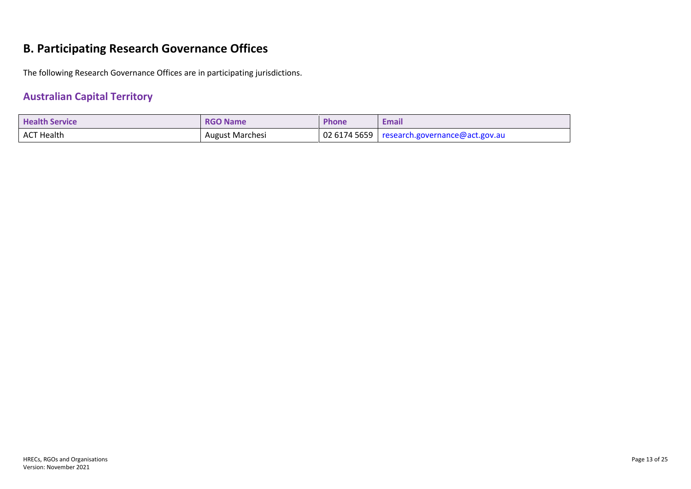# <span id="page-12-0"></span>**B. Participating Research Governance Offices**

The following Research Governance Offices are in participating jurisdictions.

# <span id="page-12-1"></span>**Australian Capital Territory**

| <b>Health Service</b> | <b>RGO Name</b>        | <b>Phone</b> | Email                                                       |
|-----------------------|------------------------|--------------|-------------------------------------------------------------|
| ACT Health            | <b>August Marchesi</b> |              | $\vert$ 02 6174 5659 $\vert$ research.governance@act.gov.au |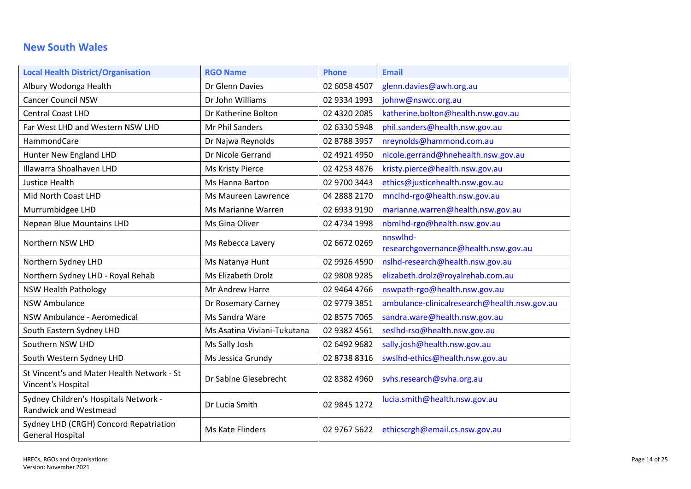# <span id="page-13-0"></span>**New South Wales**

| <b>Local Health District/Organisation</b>                             | <b>RGO Name</b>             | <b>Phone</b> | <b>Email</b>                                     |
|-----------------------------------------------------------------------|-----------------------------|--------------|--------------------------------------------------|
| Albury Wodonga Health                                                 | Dr Glenn Davies             | 02 6058 4507 | glenn.davies@awh.org.au                          |
| <b>Cancer Council NSW</b>                                             | Dr John Williams            | 02 9334 1993 | johnw@nswcc.org.au                               |
| <b>Central Coast LHD</b>                                              | Dr Katherine Bolton         | 02 4320 2085 | katherine.bolton@health.nsw.gov.au               |
| Far West LHD and Western NSW LHD                                      | Mr Phil Sanders             | 02 6330 5948 | phil.sanders@health.nsw.gov.au                   |
| HammondCare                                                           | Dr Najwa Reynolds           | 02 8788 3957 | nreynolds@hammond.com.au                         |
| Hunter New England LHD                                                | Dr Nicole Gerrand           | 02 4921 4950 | nicole.gerrand@hnehealth.nsw.gov.au              |
| Illawarra Shoalhaven LHD                                              | Ms Kristy Pierce            | 02 4253 4876 | kristy.pierce@health.nsw.gov.au                  |
| <b>Justice Health</b>                                                 | Ms Hanna Barton             | 02 9700 3443 | ethics@justicehealth.nsw.gov.au                  |
| Mid North Coast LHD                                                   | Ms Maureen Lawrence         | 04 2888 2170 | mnclhd-rgo@health.nsw.gov.au                     |
| Murrumbidgee LHD                                                      | Ms Marianne Warren          | 02 6933 9190 | marianne.warren@health.nsw.gov.au                |
| Nepean Blue Mountains LHD                                             | Ms Gina Oliver              | 02 4734 1998 | nbmlhd-rgo@health.nsw.gov.au                     |
| Northern NSW LHD                                                      | Ms Rebecca Lavery           | 02 6672 0269 | nnswlhd-<br>researchgovernance@health.nsw.gov.au |
| Northern Sydney LHD                                                   | Ms Natanya Hunt             | 02 9926 4590 | nslhd-research@health.nsw.gov.au                 |
| Northern Sydney LHD - Royal Rehab                                     | Ms Elizabeth Drolz          | 02 9808 9285 | elizabeth.drolz@royalrehab.com.au                |
| <b>NSW Health Pathology</b>                                           | Mr Andrew Harre             | 02 9464 4766 | nswpath-rgo@health.nsw.gov.au                    |
| <b>NSW Ambulance</b>                                                  | Dr Rosemary Carney          | 02 9779 3851 | ambulance-clinicalresearch@health.nsw.gov.au     |
| NSW Ambulance - Aeromedical                                           | Ms Sandra Ware              | 02 8575 7065 | sandra.ware@health.nsw.gov.au                    |
| South Eastern Sydney LHD                                              | Ms Asatina Viviani-Tukutana | 02 9382 4561 | seslhd-rso@health.nsw.gov.au                     |
| Southern NSW LHD                                                      | Ms Sally Josh               | 02 6492 9682 | sally.josh@health.nsw.gov.au                     |
| South Western Sydney LHD                                              | Ms Jessica Grundy           | 02 8738 8316 | swslhd-ethics@health.nsw.gov.au                  |
| St Vincent's and Mater Health Network - St<br>Vincent's Hospital      | Dr Sabine Giesebrecht       | 02 8382 4960 | svhs.research@svha.org.au                        |
| Sydney Children's Hospitals Network -<br><b>Randwick and Westmead</b> | Dr Lucia Smith              | 02 9845 1272 | lucia.smith@health.nsw.gov.au                    |
| Sydney LHD (CRGH) Concord Repatriation<br><b>General Hospital</b>     | Ms Kate Flinders            | 02 9767 5622 | ethicscrgh@email.cs.nsw.gov.au                   |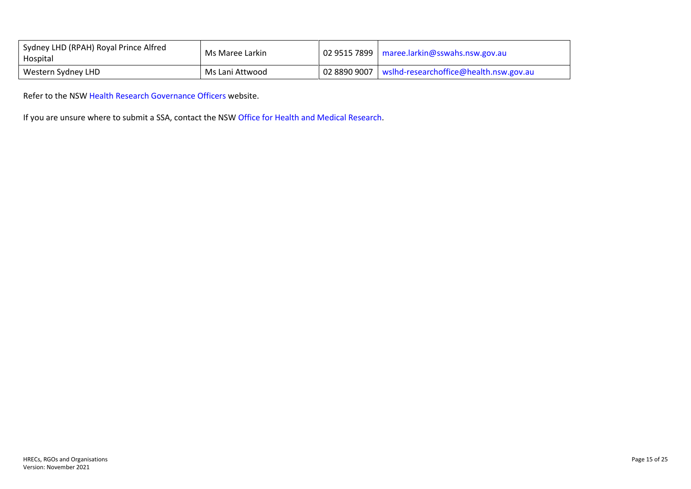| Sydney LHD (RPAH) Royal Prince Alfred<br>Hospital | Ms Maree Larkin | $\vert$ 02 9515 7899   maree.larkin@sswahs.nsw.gov.au |
|---------------------------------------------------|-----------------|-------------------------------------------------------|
| Western Sydney LHD                                | Ms Lani Attwood | 02 8890 9007   wslhd-researchoffice@health.nsw.gov.au |

Refer to the NSW [Health Research Governance Officers](https://www.medicalresearch.nsw.gov.au/ethics-governance-contacts/) website.

If you are unsure where to submit a SSA, contact the NSW [Office for Health and](#page-24-0) Medical Research.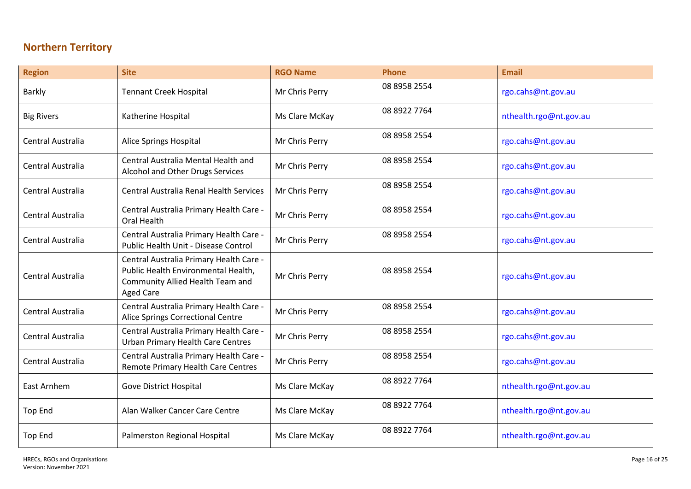# <span id="page-15-0"></span>**Northern Territory**

| <b>Region</b>            | <b>Site</b>                                                                                                                            | <b>RGO Name</b> | <b>Phone</b> | <b>Email</b>           |
|--------------------------|----------------------------------------------------------------------------------------------------------------------------------------|-----------------|--------------|------------------------|
| <b>Barkly</b>            | <b>Tennant Creek Hospital</b>                                                                                                          | Mr Chris Perry  | 08 8958 2554 | rgo.cahs@nt.gov.au     |
| <b>Big Rivers</b>        | Katherine Hospital                                                                                                                     | Ms Clare McKay  | 08 8922 7764 | nthealth.rgo@nt.gov.au |
| Central Australia        | Alice Springs Hospital                                                                                                                 | Mr Chris Perry  | 08 8958 2554 | rgo.cahs@nt.gov.au     |
| Central Australia        | Central Australia Mental Health and<br>Alcohol and Other Drugs Services                                                                | Mr Chris Perry  | 08 8958 2554 | rgo.cahs@nt.gov.au     |
| <b>Central Australia</b> | <b>Central Australia Renal Health Services</b>                                                                                         | Mr Chris Perry  | 08 8958 2554 | rgo.cahs@nt.gov.au     |
| Central Australia        | Central Australia Primary Health Care -<br><b>Oral Health</b>                                                                          | Mr Chris Perry  | 08 8958 2554 | rgo.cahs@nt.gov.au     |
| Central Australia        | Central Australia Primary Health Care -<br>Public Health Unit - Disease Control                                                        | Mr Chris Perry  | 08 8958 2554 | rgo.cahs@nt.gov.au     |
| <b>Central Australia</b> | Central Australia Primary Health Care -<br>Public Health Environmental Health,<br>Community Allied Health Team and<br><b>Aged Care</b> | Mr Chris Perry  | 08 8958 2554 | rgo.cahs@nt.gov.au     |
| Central Australia        | Central Australia Primary Health Care -<br>Alice Springs Correctional Centre                                                           | Mr Chris Perry  | 08 8958 2554 | rgo.cahs@nt.gov.au     |
| Central Australia        | Central Australia Primary Health Care -<br><b>Urban Primary Health Care Centres</b>                                                    | Mr Chris Perry  | 08 8958 2554 | rgo.cahs@nt.gov.au     |
| Central Australia        | Central Australia Primary Health Care -<br><b>Remote Primary Health Care Centres</b>                                                   | Mr Chris Perry  | 08 8958 2554 | rgo.cahs@nt.gov.au     |
| East Arnhem              | Gove District Hospital                                                                                                                 | Ms Clare McKay  | 08 8922 7764 | nthealth.rgo@nt.gov.au |
| <b>Top End</b>           | Alan Walker Cancer Care Centre                                                                                                         | Ms Clare McKay  | 08 8922 7764 | nthealth.rgo@nt.gov.au |
| <b>Top End</b>           | Palmerston Regional Hospital                                                                                                           | Ms Clare McKay  | 08 8922 7764 | nthealth.rgo@nt.gov.au |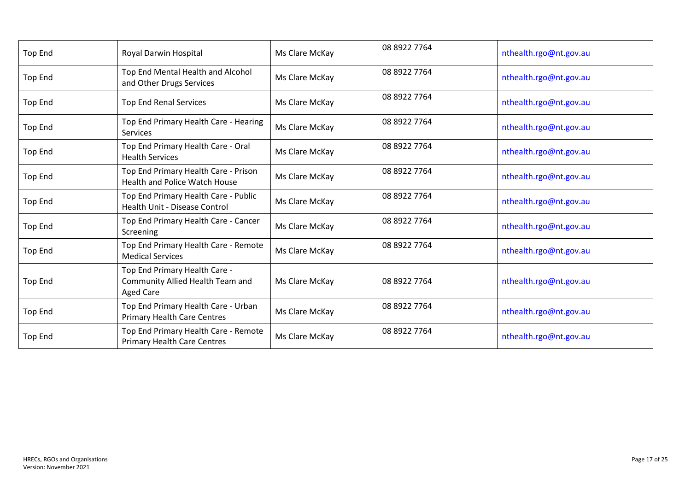| <b>Top End</b> | Royal Darwin Hospital                                                                 | Ms Clare McKay | 08 8922 7764 | nthealth.rgo@nt.gov.au |
|----------------|---------------------------------------------------------------------------------------|----------------|--------------|------------------------|
| <b>Top End</b> | Top End Mental Health and Alcohol<br>and Other Drugs Services                         | Ms Clare McKay | 08 8922 7764 | nthealth.rgo@nt.gov.au |
| <b>Top End</b> | <b>Top End Renal Services</b>                                                         | Ms Clare McKay | 08 8922 7764 | nthealth.rgo@nt.gov.au |
| <b>Top End</b> | Top End Primary Health Care - Hearing<br>Services                                     | Ms Clare McKay | 08 8922 7764 | nthealth.rgo@nt.gov.au |
| <b>Top End</b> | Top End Primary Health Care - Oral<br><b>Health Services</b>                          | Ms Clare McKay | 08 8922 7764 | nthealth.rgo@nt.gov.au |
| <b>Top End</b> | Top End Primary Health Care - Prison<br><b>Health and Police Watch House</b>          | Ms Clare McKay | 08 8922 7764 | nthealth.rgo@nt.gov.au |
| <b>Top End</b> | Top End Primary Health Care - Public<br><b>Health Unit - Disease Control</b>          | Ms Clare McKay | 08 8922 7764 | nthealth.rgo@nt.gov.au |
| <b>Top End</b> | Top End Primary Health Care - Cancer<br>Screening                                     | Ms Clare McKay | 08 8922 7764 | nthealth.rgo@nt.gov.au |
| <b>Top End</b> | Top End Primary Health Care - Remote<br><b>Medical Services</b>                       | Ms Clare McKay | 08 8922 7764 | nthealth.rgo@nt.gov.au |
| <b>Top End</b> | Top End Primary Health Care -<br>Community Allied Health Team and<br><b>Aged Care</b> | Ms Clare McKay | 08 8922 7764 | nthealth.rgo@nt.gov.au |
| <b>Top End</b> | Top End Primary Health Care - Urban<br><b>Primary Health Care Centres</b>             | Ms Clare McKay | 08 8922 7764 | nthealth.rgo@nt.gov.au |
| <b>Top End</b> | Top End Primary Health Care - Remote<br><b>Primary Health Care Centres</b>            | Ms Clare McKay | 08 8922 7764 | nthealth.rgo@nt.gov.au |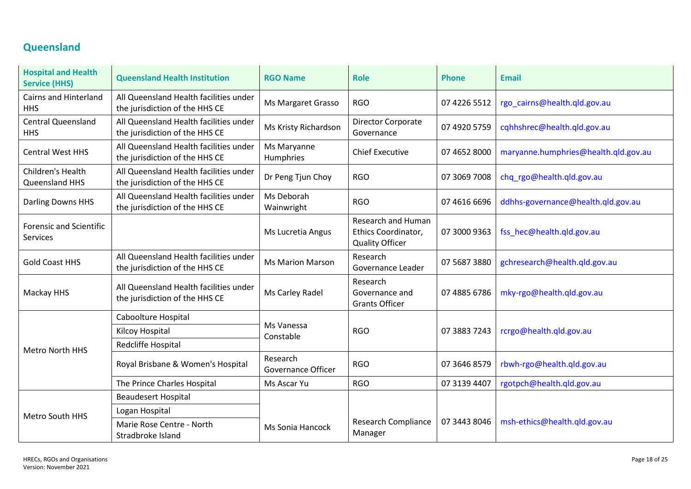# <span id="page-17-0"></span>**Queensland**

| <b>Hospital and Health</b><br><b>Service (HHS)</b> | <b>Queensland Health Institution</b>                                     | <b>RGO Name</b>                       | <b>Role</b>                                                                | <b>Phone</b> | <b>Email</b>                         |
|----------------------------------------------------|--------------------------------------------------------------------------|---------------------------------------|----------------------------------------------------------------------------|--------------|--------------------------------------|
| <b>Cairns and Hinterland</b><br><b>HHS</b>         | All Queensland Health facilities under<br>the jurisdiction of the HHS CE | Ms Margaret Grasso                    | <b>RGO</b>                                                                 | 07 4226 5512 | rgo_cairns@health.qld.gov.au         |
| <b>Central Queensland</b><br><b>HHS</b>            | All Queensland Health facilities under<br>the jurisdiction of the HHS CE | Ms Kristy Richardson                  | Director Corporate<br>Governance                                           | 07 4920 5759 | cqhhshrec@health.qld.gov.au          |
| <b>Central West HHS</b>                            | All Queensland Health facilities under<br>the jurisdiction of the HHS CE | Ms Maryanne<br>Humphries              | <b>Chief Executive</b>                                                     | 07 4652 8000 | maryanne.humphries@health.qld.gov.au |
| Children's Health<br>Queensland HHS                | All Queensland Health facilities under<br>the jurisdiction of the HHS CE | Dr Peng Tjun Choy                     | <b>RGO</b>                                                                 | 07 3069 7008 | chq_rgo@health.qld.gov.au            |
| Darling Downs HHS                                  | All Queensland Health facilities under<br>the jurisdiction of the HHS CE | Ms Deborah<br>Wainwright              | <b>RGO</b>                                                                 | 07 4616 6696 | ddhhs-governance@health.qld.gov.au   |
| <b>Forensic and Scientific</b><br>Services         |                                                                          | Ms Lucretia Angus                     | <b>Research and Human</b><br>Ethics Coordinator,<br><b>Quality Officer</b> | 07 3000 9363 | fss hec@health.qld.gov.au            |
| <b>Gold Coast HHS</b>                              | All Queensland Health facilities under<br>the jurisdiction of the HHS CE | <b>Ms Marion Marson</b>               | Research<br>Governance Leader                                              | 07 5687 3880 | gchresearch@health.qld.gov.au        |
| Mackay HHS                                         | All Queensland Health facilities under<br>the jurisdiction of the HHS CE | Ms Carley Radel                       | Research<br>Governance and<br><b>Grants Officer</b>                        | 07 4885 6786 | mky-rgo@health.qld.gov.au            |
|                                                    | Caboolture Hospital                                                      | Ms Vanessa                            |                                                                            | 07 3883 7243 | rcrgo@health.qld.gov.au              |
|                                                    | Kilcoy Hospital                                                          | Constable                             | <b>RGO</b>                                                                 |              |                                      |
| Metro North HHS                                    | Redcliffe Hospital                                                       |                                       |                                                                            |              |                                      |
|                                                    | Royal Brisbane & Women's Hospital                                        | Research<br><b>Governance Officer</b> | <b>RGO</b>                                                                 | 07 3646 8579 | rbwh-rgo@health.qld.gov.au           |
|                                                    | The Prince Charles Hospital                                              | Ms Ascar Yu                           | <b>RGO</b>                                                                 | 07 3139 4407 | rgotpch@health.qld.gov.au            |
|                                                    | <b>Beaudesert Hospital</b>                                               |                                       |                                                                            |              |                                      |
| <b>Metro South HHS</b>                             | Logan Hospital                                                           |                                       |                                                                            |              |                                      |
|                                                    | Marie Rose Centre - North<br>Stradbroke Island                           | <b>Ms Sonia Hancock</b>               | <b>Research Compliance</b><br>Manager                                      | 07 3443 8046 | msh-ethics@health.qld.gov.au         |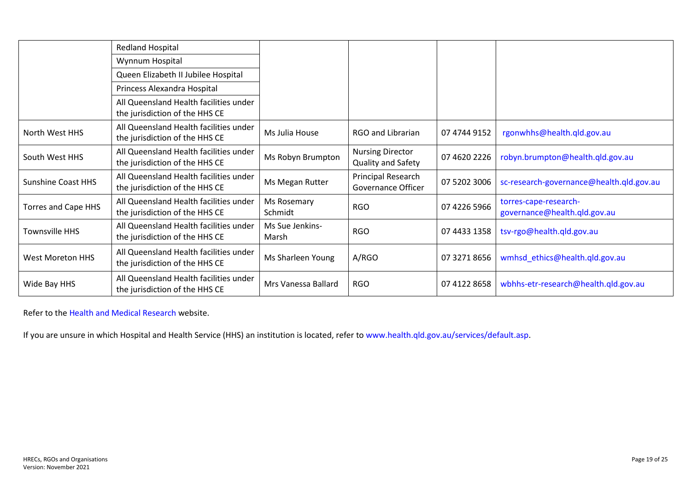|                            | Redland Hospital                                                         |                          |                                               |              |                                                       |
|----------------------------|--------------------------------------------------------------------------|--------------------------|-----------------------------------------------|--------------|-------------------------------------------------------|
|                            | Wynnum Hospital                                                          |                          |                                               |              |                                                       |
|                            | Queen Elizabeth II Jubilee Hospital                                      |                          |                                               |              |                                                       |
|                            | Princess Alexandra Hospital                                              |                          |                                               |              |                                                       |
|                            | All Queensland Health facilities under<br>the jurisdiction of the HHS CE |                          |                                               |              |                                                       |
| North West HHS             | All Queensland Health facilities under<br>the jurisdiction of the HHS CE | Ms Julia House           | RGO and Librarian                             | 07 4744 9152 | rgonwhhs@health.qld.gov.au                            |
| South West HHS             | All Queensland Health facilities under<br>the jurisdiction of the HHS CE | Ms Robyn Brumpton        | <b>Nursing Director</b><br>Quality and Safety | 07 4620 2226 | robyn.brumpton@health.qld.gov.au                      |
| <b>Sunshine Coast HHS</b>  | All Queensland Health facilities under<br>the jurisdiction of the HHS CE | Ms Megan Rutter          | Principal Research<br>Governance Officer      | 07 5202 3006 | sc-research-governance@health.qld.gov.au              |
| <b>Torres and Cape HHS</b> | All Queensland Health facilities under<br>the jurisdiction of the HHS CE | Ms Rosemary<br>Schmidt   | <b>RGO</b>                                    | 07 4226 5966 | torres-cape-research-<br>governance@health.qld.gov.au |
| <b>Townsville HHS</b>      | All Queensland Health facilities under<br>the jurisdiction of the HHS CE | Ms Sue Jenkins-<br>Marsh | <b>RGO</b>                                    | 07 4433 1358 | tsv-rgo@health.qld.gov.au                             |
| <b>West Moreton HHS</b>    | All Queensland Health facilities under<br>the jurisdiction of the HHS CE | Ms Sharleen Young        | A/RGO                                         | 07 3271 8656 | wmhsd_ethics@health.qld.gov.au                        |
| Wide Bay HHS               | All Queensland Health facilities under<br>the jurisdiction of the HHS CE | Mrs Vanessa Ballard      | <b>RGO</b>                                    | 07 4122 8658 | wbhhs-etr-research@health.qld.gov.au                  |

Refer to the [Health and Medical Research](http://www.health.qld.gov.au/ohmr/documents/regu/rgo_submit_locn.pdf) website.

If you are unsure in which Hospital and Health Service (HHS) an institution is located, refer to [www.health.qld.gov.au/services/default.asp.](http://www.health.qld.gov.au/services/default.asp)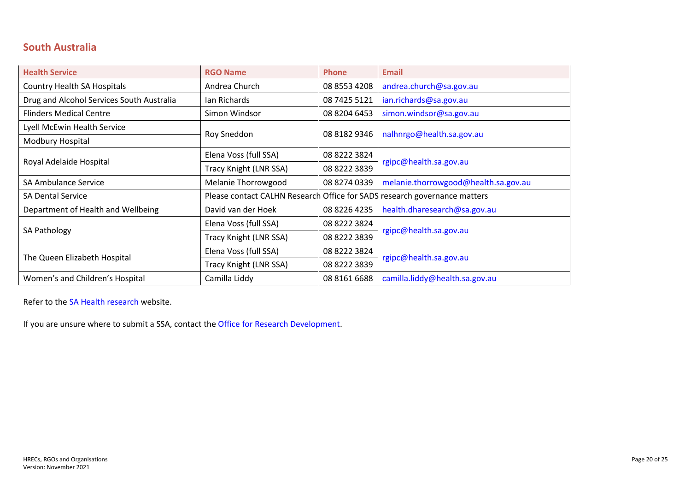### <span id="page-19-0"></span>**South Australia**

| <b>Health Service</b>                     | <b>RGO Name</b>        | <b>Phone</b>                                                              | <b>Email</b>                         |  |
|-------------------------------------------|------------------------|---------------------------------------------------------------------------|--------------------------------------|--|
| Country Health SA Hospitals               | Andrea Church          | 08 8553 4208                                                              | andrea.church@sa.gov.au              |  |
| Drug and Alcohol Services South Australia | lan Richards           | 08 7425 5121                                                              | ian.richards@sa.gov.au               |  |
| <b>Flinders Medical Centre</b>            | Simon Windsor          | 08 8204 6453                                                              | simon.windsor@sa.gov.au              |  |
| Lyell McEwin Health Service               |                        |                                                                           |                                      |  |
| Modbury Hospital                          | Roy Sneddon            | 08 8182 9346                                                              | nalhnrgo@health.sa.gov.au            |  |
| Royal Adelaide Hospital                   | Elena Voss (full SSA)  | 08 8222 3824                                                              |                                      |  |
|                                           | Tracy Knight (LNR SSA) | 08 8222 3839                                                              | rgipc@health.sa.gov.au               |  |
| <b>SA Ambulance Service</b>               | Melanie Thorrowgood    | 08 8274 0339                                                              | melanie.thorrowgood@health.sa.gov.au |  |
| <b>SA Dental Service</b>                  |                        | Please contact CALHN Research Office for SADS research governance matters |                                      |  |
| Department of Health and Wellbeing        | David van der Hoek     | 08 8226 4235                                                              | health.dharesearch@sa.gov.au         |  |
|                                           | Elena Voss (full SSA)  | 08 8222 3824                                                              |                                      |  |
| SA Pathology                              | Tracy Knight (LNR SSA) | 08 8222 3839                                                              | rgipc@health.sa.gov.au               |  |
|                                           | Elena Voss (full SSA)  | 08 8222 3824                                                              |                                      |  |
| The Queen Elizabeth Hospital              | Tracy Knight (LNR SSA) | 08 8222 3839                                                              | rgipc@health.sa.gov.au               |  |
| Women's and Children's Hospital           | Camilla Liddy          | 08 8161 6688                                                              | camilla.liddy@health.sa.gov.au       |  |

Refer to the [SA Health research](http://www.sahealth.sa.gov.au/wps/wcm/connect/public+content/sa+health+internet/about+us/health+and+medical+research/research+ethics/research+governance) website.

If you are unsure where to submit a SSA, contact the [Office for Research Development.](#page-24-0)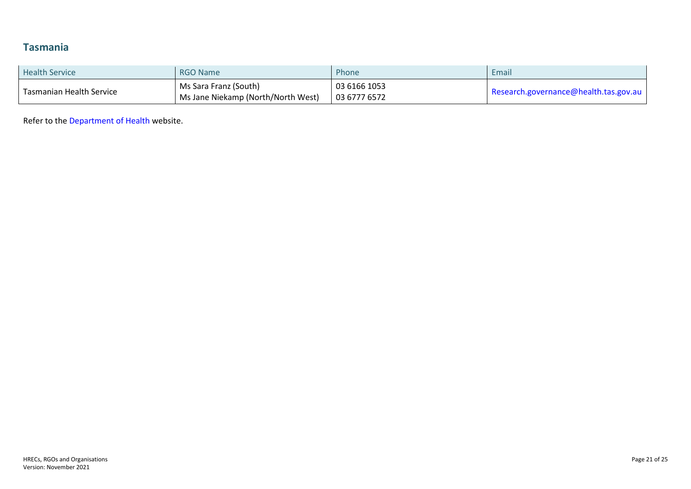# <span id="page-20-0"></span>**Tasmania**

| <b>Health Service</b>    | <b>RGO Name</b>                    | Phone        | Email                                 |
|--------------------------|------------------------------------|--------------|---------------------------------------|
| Tasmanian Health Service | Ms Sara Franz (South)              | 03 6166 1053 | Research.governance@health.tas.gov.au |
|                          | Ms Jane Niekamp (North/North West) | 03 6777 6572 |                                       |

Refer to the [Department of Health](https://www.health.tas.gov.au/research/research_governance) website.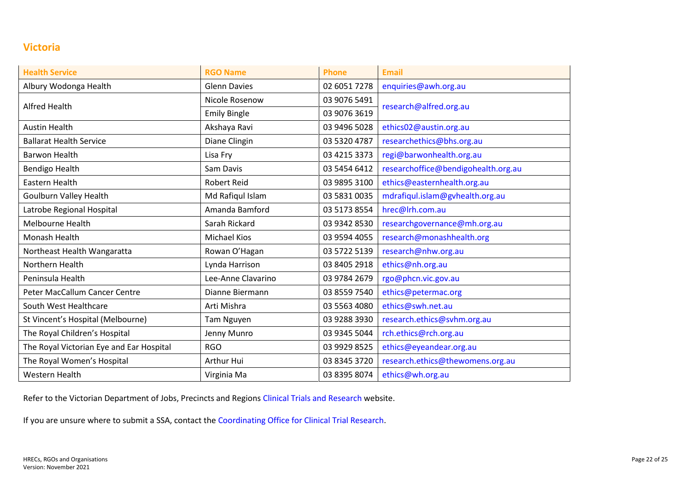### <span id="page-21-0"></span>**Victoria**

| <b>Health Service</b>                    | <b>RGO Name</b>     | <b>Phone</b> | <b>Email</b>                        |
|------------------------------------------|---------------------|--------------|-------------------------------------|
| Albury Wodonga Health                    | <b>Glenn Davies</b> | 02 6051 7278 | enquiries@awh.org.au                |
|                                          | Nicole Rosenow      | 03 9076 5491 |                                     |
| Alfred Health                            | <b>Emily Bingle</b> | 03 9076 3619 | research@alfred.org.au              |
| <b>Austin Health</b>                     | Akshaya Ravi        | 03 9496 5028 | ethics02@austin.org.au              |
| <b>Ballarat Health Service</b>           | Diane Clingin       | 03 5320 4787 | researchethics@bhs.org.au           |
| <b>Barwon Health</b>                     | Lisa Fry            | 03 4215 3373 | regi@barwonhealth.org.au            |
| <b>Bendigo Health</b>                    | Sam Davis           | 03 5454 6412 | researchoffice@bendigohealth.org.au |
| Eastern Health                           | <b>Robert Reid</b>  | 03 9895 3100 | ethics@easternhealth.org.au         |
| Goulburn Valley Health                   | Md Rafiqul Islam    | 03 5831 0035 | mdrafiqul.islam@gvhealth.org.au     |
| Latrobe Regional Hospital                | Amanda Bamford      | 03 5173 8554 | hrec@lrh.com.au                     |
| Melbourne Health                         | Sarah Rickard       | 03 9342 8530 | researchgovernance@mh.org.au        |
| Monash Health                            | <b>Michael Kios</b> | 03 9594 4055 | research@monashhealth.org           |
| Northeast Health Wangaratta              | Rowan O'Hagan       | 03 5722 5139 | research@nhw.org.au                 |
| Northern Health                          | Lynda Harrison      | 03 8405 2918 | ethics@nh.org.au                    |
| Peninsula Health                         | Lee-Anne Clavarino  | 03 9784 2679 | rgo@phcn.vic.gov.au                 |
| Peter MacCallum Cancer Centre            | Dianne Biermann     | 03 8559 7540 | ethics@petermac.org                 |
| South West Healthcare                    | Arti Mishra         | 03 5563 4080 | ethics@swh.net.au                   |
| St Vincent's Hospital (Melbourne)        | <b>Tam Nguyen</b>   | 03 9288 3930 | research.ethics@svhm.org.au         |
| The Royal Children's Hospital            | Jenny Munro         | 03 9345 5044 | rch.ethics@rch.org.au               |
| The Royal Victorian Eye and Ear Hospital | <b>RGO</b>          | 03 9929 8525 | ethics@eyeandear.org.au             |
| The Royal Women's Hospital               | Arthur Hui          | 03 8345 3720 | research.ethics@thewomens.org.au    |
| Western Health                           | Virginia Ma         | 03 8395 8074 | ethics@wh.org.au                    |

Refer to the Victorian Department of Jobs, Precincts and Regions [Clinical Trials and Research](https://www.clinicaltrialsandresearch.vic.gov.au/) website.

If you are unsure where to submit a SSA, contact th[e Coordinating Office for Clinical Trial Research.](#page-24-0)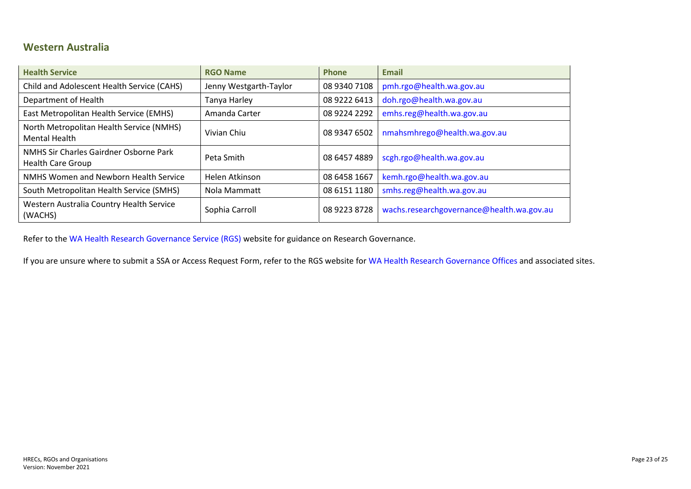#### <span id="page-22-0"></span>**Western Australia**

| <b>Health Service</b>                                              | <b>RGO Name</b>        | <b>Phone</b> | <b>Email</b>                              |
|--------------------------------------------------------------------|------------------------|--------------|-------------------------------------------|
| Child and Adolescent Health Service (CAHS)                         | Jenny Westgarth-Taylor | 08 9340 7108 | pmh.rgo@health.wa.gov.au                  |
| Department of Health                                               | Tanya Harley           | 08 9222 6413 | doh.rgo@health.wa.gov.au                  |
| East Metropolitan Health Service (EMHS)                            | Amanda Carter          | 08 9224 2292 | emhs.reg@health.wa.gov.au                 |
| North Metropolitan Health Service (NMHS)<br><b>Mental Health</b>   | Vivian Chiu            | 08 9347 6502 | nmahsmhrego@health.wa.gov.au              |
| NMHS Sir Charles Gairdner Osborne Park<br><b>Health Care Group</b> | Peta Smith             | 08 6457 4889 | scgh.rgo@health.wa.gov.au                 |
| NMHS Women and Newborn Health Service                              | Helen Atkinson         | 08 6458 1667 | kemh.rgo@health.wa.gov.au                 |
| South Metropolitan Health Service (SMHS)                           | Nola Mammatt           | 08 6151 1180 | smhs.reg@health.wa.gov.au                 |
| Western Australia Country Health Service<br>(WACHS)                | Sophia Carroll         | 08 9223 8728 | wachs.researchgovernance@health.wa.gov.au |

Refer to the [WA Health Research Governance Service \(RGS\)](https://rgs.health.wa.gov.au/Pages/Research-Governance.aspx) website for guidance on Research Governance.

If you are unsure where to submit a SSA or Access Request Form, refer to the RGS website for WA Health [Research Governance Offices](https://rgs.health.wa.gov.au/Pages/Contacts.aspx#WA-Health-RGOs) and associated sites.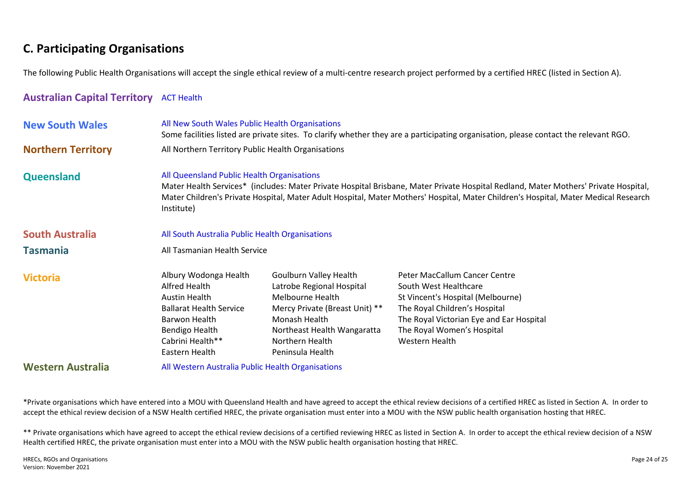# <span id="page-23-0"></span>**C. Participating Organisations**

The following Public Health Organisations will accept the single ethical review of a multi-centre research project performed by a certified HREC (listed in Section A).

#### <span id="page-23-1"></span>**Australian Capital Territory** [ACT Health](http://health.act.gov.au/datapublications/research/human-research-ethics-committee)

<span id="page-23-6"></span><span id="page-23-5"></span><span id="page-23-4"></span><span id="page-23-3"></span><span id="page-23-2"></span>

| <b>New South Wales</b>    | All New South Wales Public Health Organisations                                                                                                                                                                                                                                                                                        |                                                                                                                                                                                                         | Some facilities listed are private sites. To clarify whether they are a participating organisation, please contact the relevant RGO.                                                                                     |  |  |  |
|---------------------------|----------------------------------------------------------------------------------------------------------------------------------------------------------------------------------------------------------------------------------------------------------------------------------------------------------------------------------------|---------------------------------------------------------------------------------------------------------------------------------------------------------------------------------------------------------|--------------------------------------------------------------------------------------------------------------------------------------------------------------------------------------------------------------------------|--|--|--|
| <b>Northern Territory</b> | All Northern Territory Public Health Organisations                                                                                                                                                                                                                                                                                     |                                                                                                                                                                                                         |                                                                                                                                                                                                                          |  |  |  |
| Queensland                | All Queensland Public Health Organisations<br>Mater Health Services* (includes: Mater Private Hospital Brisbane, Mater Private Hospital Redland, Mater Mothers' Private Hospital,<br>Mater Children's Private Hospital, Mater Adult Hospital, Mater Mothers' Hospital, Mater Children's Hospital, Mater Medical Research<br>Institute) |                                                                                                                                                                                                         |                                                                                                                                                                                                                          |  |  |  |
| <b>South Australia</b>    | All South Australia Public Health Organisations                                                                                                                                                                                                                                                                                        |                                                                                                                                                                                                         |                                                                                                                                                                                                                          |  |  |  |
| <b>Tasmania</b>           | All Tasmanian Health Service                                                                                                                                                                                                                                                                                                           |                                                                                                                                                                                                         |                                                                                                                                                                                                                          |  |  |  |
| <b>Victoria</b>           | Albury Wodonga Health<br>Alfred Health<br>Austin Health<br><b>Ballarat Health Service</b><br>Barwon Health<br><b>Bendigo Health</b><br>Cabrini Health**<br>Eastern Health                                                                                                                                                              | <b>Goulburn Valley Health</b><br>Latrobe Regional Hospital<br>Melbourne Health<br>Mercy Private (Breast Unit) **<br>Monash Health<br>Northeast Health Wangaratta<br>Northern Health<br>Peninsula Health | Peter MacCallum Cancer Centre<br>South West Healthcare<br>St Vincent's Hospital (Melbourne)<br>The Royal Children's Hospital<br>The Royal Victorian Eye and Ear Hospital<br>The Royal Women's Hospital<br>Western Health |  |  |  |
| <b>Western Australia</b>  | All Western Australia Public Health Organisations                                                                                                                                                                                                                                                                                      |                                                                                                                                                                                                         |                                                                                                                                                                                                                          |  |  |  |

<span id="page-23-8"></span><span id="page-23-7"></span>\*Private organisations which have entered into a MOU with Queensland Health and have agreed to accept the ethical review decisions of a certified HREC as listed in Section A. In order to accept the ethical review decision of a NSW Health certified HREC, the private organisation must enter into a MOU with the NSW public health organisation hosting that HREC.

\*\* Private organisations which have agreed to accept the ethical review decisions of a certified reviewing HREC as listed in Section A. In order to accept the ethical review decision of a NSW Health certified HREC, the private organisation must enter into a MOU with the NSW public health organisation hosting that HREC.